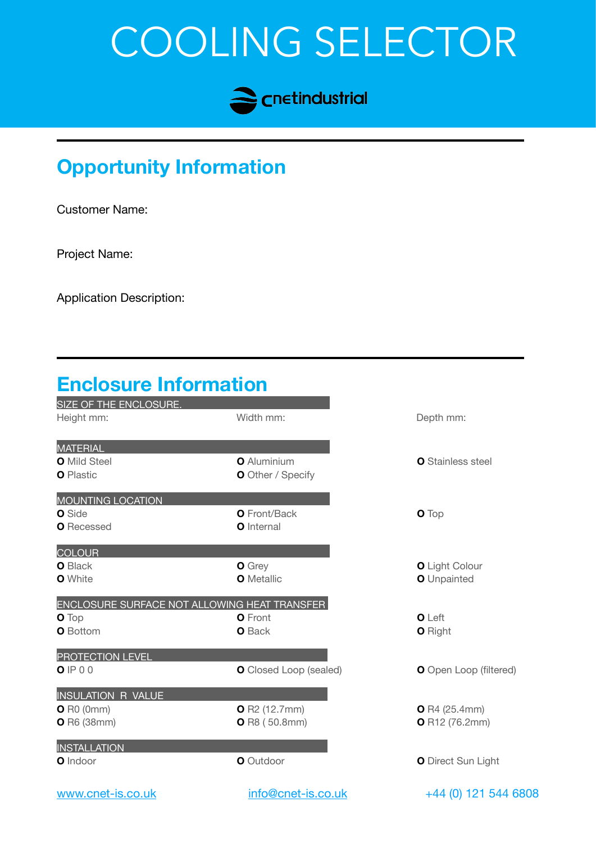# COOLING SELECTOR



## **Opportunity Information**

Customer Name:

Project Name:

Application Description:

#### **Enclosure Information** SIZE OF THE ENCLOSURE. Height mm: **Width mm: Width mm: Depth mm: MATERIAL O** Mild Steel **O** Aluminium **O O** Aluminium **O** Stainless steel **O** Plastic **O** Other / Specify MOUNTING LOCATION **O** Side **O** Front/Back **O** Top **O** Recessed **O** Internal **COLOUR O** Black **O** Grey **O** Grey **O** Light Colour **O** White **O** Metallic **O O** Metallic **O** Unpainted ENCLOSURE SURFACE NOT ALLOWING HEAT TRANSFER **O** Top **O** Front **O** Front **O** Left **O** Bottom **O** Back **O** Right PROTECTION LEVEL **O** IP 0 0 **O** Closed Loop (sealed) **O** Open Loop (filtered) INSULATION R VALUE **O** R0 (0mm) **O** R2 (12.7mm) **O** R4 (25.4mm) **O** R6 (38mm) **O** R8 (50.8mm) **O** R12 (76.2mm) INSTALLATION **O** Indoor **O** Indoor **O** Direct Sun Light

[www.cnet-is.co.uk](http://www.cnet-is.co.uk) [info@cnet-is.co.uk](mailto:info@cnet-is.co.uk) +44 (0) 121 544 6808